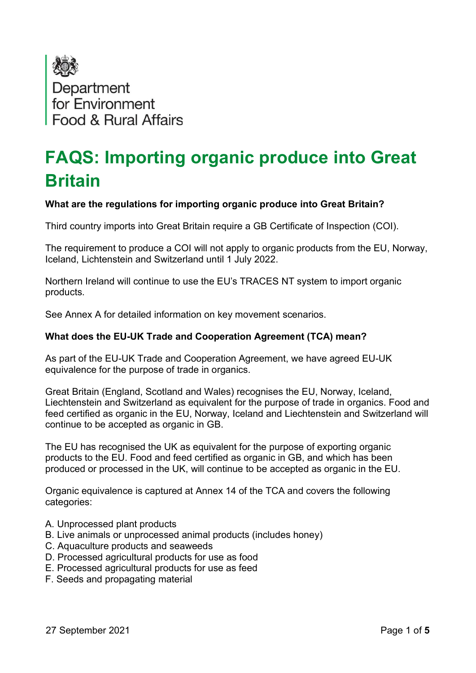

# FAQS: Importing organic produce into Great Britain

# What are the regulations for importing organic produce into Great Britain?

Third country imports into Great Britain require a GB Certificate of Inspection (COI).

The requirement to produce a COI will not apply to organic products from the EU, Norway, Iceland, Lichtenstein and Switzerland until 1 July 2022.

Northern Ireland will continue to use the EU's TRACES NT system to import organic products.

See Annex A for detailed information on key movement scenarios.

## What does the EU-UK Trade and Cooperation Agreement (TCA) mean?

As part of the EU-UK Trade and Cooperation Agreement, we have agreed EU-UK equivalence for the purpose of trade in organics.

Great Britain (England, Scotland and Wales) recognises the EU, Norway, Iceland, Liechtenstein and Switzerland as equivalent for the purpose of trade in organics. Food and feed certified as organic in the EU, Norway, Iceland and Liechtenstein and Switzerland will continue to be accepted as organic in GB.

The EU has recognised the UK as equivalent for the purpose of exporting organic products to the EU. Food and feed certified as organic in GB, and which has been produced or processed in the UK, will continue to be accepted as organic in the EU.

Organic equivalence is captured at Annex 14 of the TCA and covers the following categories:

- A. Unprocessed plant products
- B. Live animals or unprocessed animal products (includes honey)
- C. Aquaculture products and seaweeds
- D. Processed agricultural products for use as food
- E. Processed agricultural products for use as feed
- F. Seeds and propagating material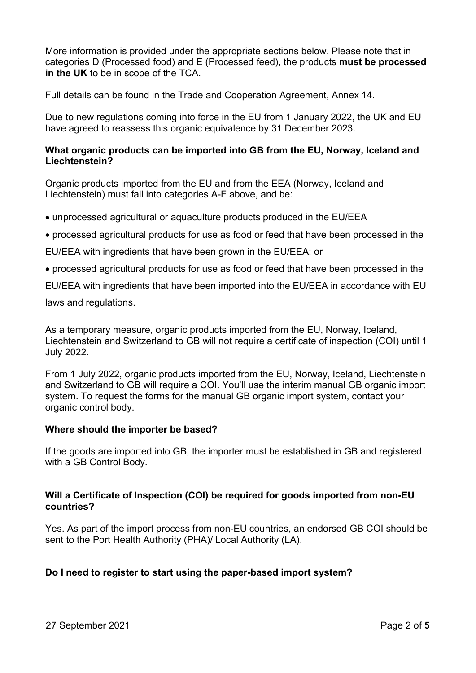More information is provided under the appropriate sections below. Please note that in categories D (Processed food) and E (Processed feed), the products must be processed in the UK to be in scope of the TCA.

Full details can be found in the Trade and Cooperation Agreement, Annex 14.

Due to new regulations coming into force in the EU from 1 January 2022, the UK and EU have agreed to reassess this organic equivalence by 31 December 2023.

## What organic products can be imported into GB from the EU, Norway, Iceland and Liechtenstein?

Organic products imported from the EU and from the EEA (Norway, Iceland and Liechtenstein) must fall into categories A-F above, and be:

- unprocessed agricultural or aquaculture products produced in the EU/EEA
- processed agricultural products for use as food or feed that have been processed in the

EU/EEA with ingredients that have been grown in the EU/EEA; or

processed agricultural products for use as food or feed that have been processed in the

EU/EEA with ingredients that have been imported into the EU/EEA in accordance with EU

laws and regulations.

As a temporary measure, organic products imported from the EU, Norway, Iceland, Liechtenstein and Switzerland to GB will not require a certificate of inspection (COI) until 1 July 2022.

From 1 July 2022, organic products imported from the EU, Norway, Iceland, Liechtenstein and Switzerland to GB will require a COI. You'll use the interim manual GB organic import system. To request the forms for the manual GB organic import system, contact your organic control body.

#### Where should the importer be based?

If the goods are imported into GB, the importer must be established in GB and registered with a GB Control Body.

## Will a Certificate of Inspection (COI) be required for goods imported from non-EU countries?

Yes. As part of the import process from non-EU countries, an endorsed GB COI should be sent to the Port Health Authority (PHA)/ Local Authority (LA).

## Do I need to register to start using the paper-based import system?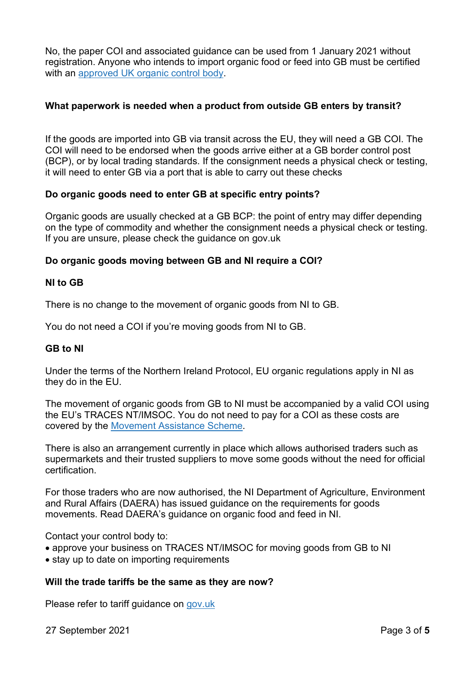No, the paper COI and associated guidance can be used from 1 January 2021 without registration. Anyone who intends to import organic food or feed into GB must be certified with an approved UK organic control body.

## What paperwork is needed when a product from outside GB enters by transit?

If the goods are imported into GB via transit across the EU, they will need a GB COI. The COI will need to be endorsed when the goods arrive either at a GB border control post (BCP), or by local trading standards. If the consignment needs a physical check or testing, it will need to enter GB via a port that is able to carry out these checks

# Do organic goods need to enter GB at specific entry points?

Organic goods are usually checked at a GB BCP: the point of entry may differ depending on the type of commodity and whether the consignment needs a physical check or testing. If you are unsure, please check the guidance on gov.uk

# Do organic goods moving between GB and NI require a COI?

## NI to GB

There is no change to the movement of organic goods from NI to GB.

You do not need a COI if you're moving goods from NI to GB.

## GB to NI

Under the terms of the Northern Ireland Protocol, EU organic regulations apply in NI as they do in the EU.

The movement of organic goods from GB to NI must be accompanied by a valid COI using the EU's TRACES NT/IMSOC. You do not need to pay for a COI as these costs are covered by the Movement Assistance Scheme.

There is also an arrangement currently in place which allows authorised traders such as supermarkets and their trusted suppliers to move some goods without the need for official certification.

For those traders who are now authorised, the NI Department of Agriculture, Environment and Rural Affairs (DAERA) has issued guidance on the requirements for goods movements. Read DAERA's guidance on organic food and feed in NI.

Contact your control body to:

- approve your business on TRACES NT/IMSOC for moving goods from GB to NI
- stay up to date on importing requirements

## Will the trade tariffs be the same as they are now?

Please refer to tariff guidance on gov.uk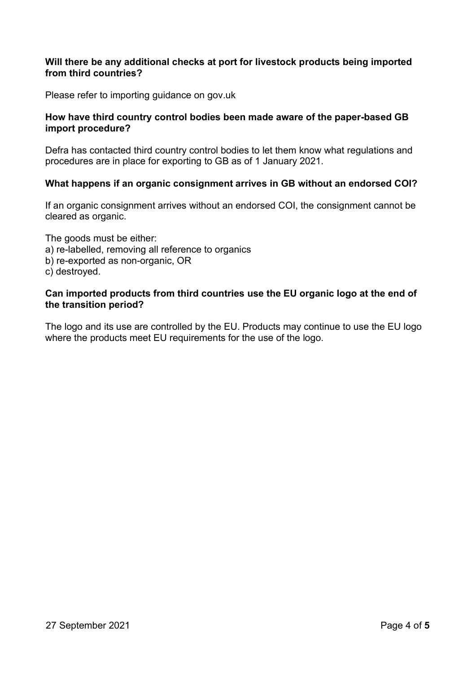## Will there be any additional checks at port for livestock products being imported from third countries?

Please refer to importing guidance on gov.uk

### How have third country control bodies been made aware of the paper-based GB import procedure?

Defra has contacted third country control bodies to let them know what regulations and procedures are in place for exporting to GB as of 1 January 2021.

#### What happens if an organic consignment arrives in GB without an endorsed COI?

If an organic consignment arrives without an endorsed COI, the consignment cannot be cleared as organic.

The goods must be either: a) re-labelled, removing all reference to organics b) re-exported as non-organic, OR c) destroyed.

### Can imported products from third countries use the EU organic logo at the end of the transition period?

The logo and its use are controlled by the EU. Products may continue to use the EU logo where the products meet EU requirements for the use of the logo.